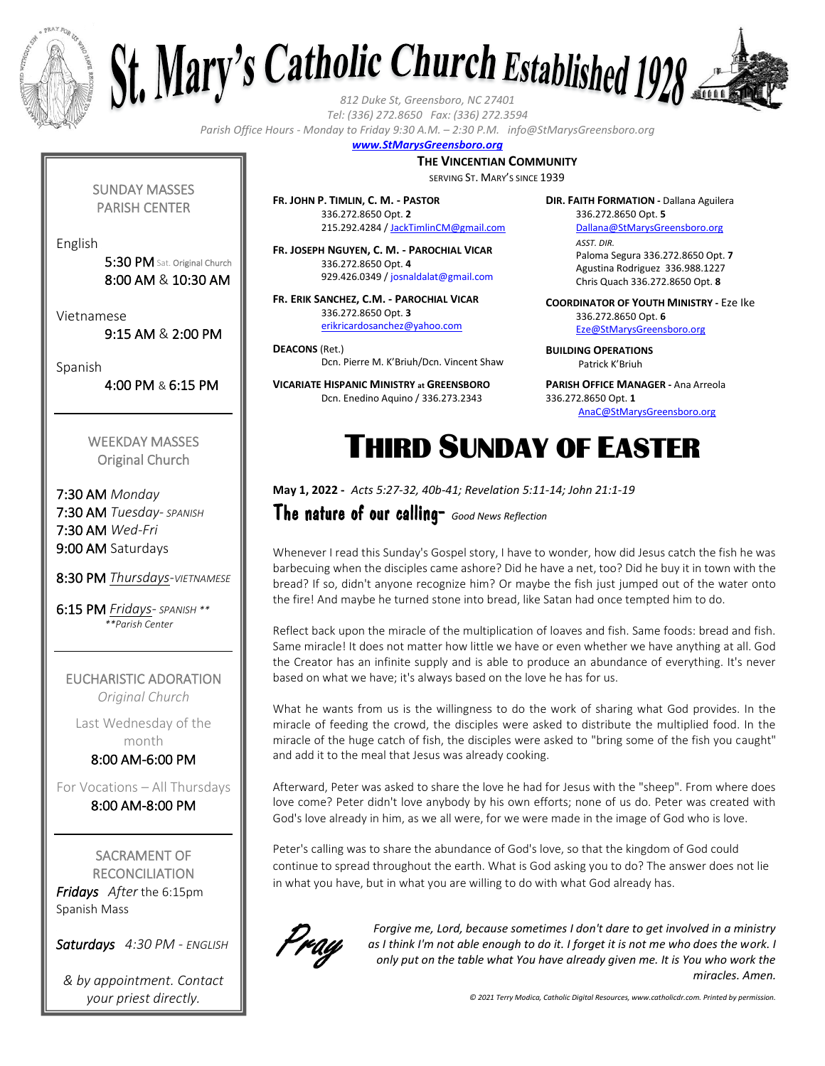



*Tel: (336) 272.8650 Fax: (336) 272.3594*

*Parish Office Hours - Monday to Friday 9:30 A.M. – 2:30 P.M. info@StMarysGreensboro.org*

### *www.StMarysGreensboro.org*

**THE VINCENTIAN COMMUNITY**

SERVING ST. MARY'S SINCE 1939

**FR. JOHN P. TIMLIN, C. M. - PASTOR** 336.272.8650 Opt. **2** 215.292.4284 / JackTimlinCM@gmail.com

**FR. JOSEPH NGUYEN, C. M. - PAROCHIAL VICAR** 336.272.8650 Opt. **4** 929.426.0349 / josnaldalat@gmail.com

**FR. ERIK SANCHEZ, C.M. - PAROCHIAL VICAR** 336.272.8650 Opt. **3** erikricardosanchez@yahoo.com

**DEACONS** (Ret.) Dcn. Pierre M. K'Briuh/Dcn. Vincent Shaw

**VICARIATE HISPANIC MINISTRY at GREENSBORO** Dcn. Enedino Aquino / 336.273.2343

**DIR. FAITH FORMATION -** Dallana Aguilera 336.272.8650 Opt. **5** Dallana@StMarysGreensboro.org *ASST. DIR.* Paloma Segura 336.272.8650 Opt. **7** Agustina Rodriguez 336.988.1227 Chris Quach 336.272.8650 Opt. **8**

**COORDINATOR OF YOUTH MINISTRY -** Eze Ike 336.272.8650 Opt. **6** Eze@StMarysGreensboro.org

**BUILDING OPERATIONS**  Patrick K'Briuh

**PARISH OFFICE MANAGER -** Ana Arreola 336.272.8650 Opt. **1** AnaC@StMarysGreensboro.org

# THIRD SUNDAY OF EASTER

**May 1, 2022 -** *Acts 5:27-32, 40b-41; Revelation 5:11-14; John 21:1-19*

The nature of our calling- *Good News Reflection*

Whenever I read this Sunday's Gospel story, I have to wonder, how did Jesus catch the fish he was barbecuing when the disciples came ashore? Did he have a net, too? Did he buy it in town with the bread? If so, didn't anyone recognize him? Or maybe the fish just jumped out of the water onto the fire! And maybe he turned stone into bread, like Satan had once tempted him to do.

Reflect back upon the miracle of the multiplication of loaves and fish. Same foods: bread and fish. Same miracle! It does not matter how little we have or even whether we have anything at all. God the Creator has an infinite supply and is able to produce an abundance of everything. It's never based on what we have; it's always based on the love he has for us.

What he wants from us is the willingness to do the work of sharing what God provides. In the miracle of feeding the crowd, the disciples were asked to distribute the multiplied food. In the miracle of the huge catch of fish, the disciples were asked to "bring some of the fish you caught" and add it to the meal that Jesus was already cooking.

Afterward, Peter was asked to share the love he had for Jesus with the "sheep". From where does love come? Peter didn't love anybody by his own efforts; none of us do. Peter was created with God's love already in him, as we all were, for we were made in the image of God who is love.

Peter's calling was to share the abundance of God's love, so that the kingdom of God could continue to spread throughout the earth. What is God asking you to do? The answer does not lie in what you have, but in what you are willing to do with what God already has.



*Forgive me, Lord, because sometimes I don't dare to get involved in a ministry as I think I'm not able enough to do it. I forget it is not me who does the work. I only put on the table what You have already given me. It is You who work the miracles. Amen.*

*© 2021 Terry Modica, Catholic Digital Resources, www.catholicdr.com. Printed by permission.*

SUNDAY MASSES PARISH CENTER

English

5:30 PM Sat. Original Church 8:00 AM & 10:30 AM

Vietnamese

9:15 AM & 2:00 PM

Spanish

4:00 PM & 6:15 PM

WEEKDAY MASSES Original Church

7:30 AM *Monday* 7:30 AM *Tuesday- SPANISH* 7:30 AM *Wed-Fri* 9:00 AM Saturdays

8:30 PM *Thursdays-VIETNAMESE*

6:15 PM *Fridays- SPANISH \*\* \*\*Parish Center*

EUCHARISTIC ADORATION *Original Church*

Last Wednesday of the month 8:00 AM-6:00 PM

For Vocations – All Thursdays

8:00 AM-8:00 PM

SACRAMENT OF **RECONCILIATION** *Fridays After* the 6:15pm Spanish Mass

*Saturdays 4:30 PM - ENGLISH*

*& by appointment. Contact your priest directly.*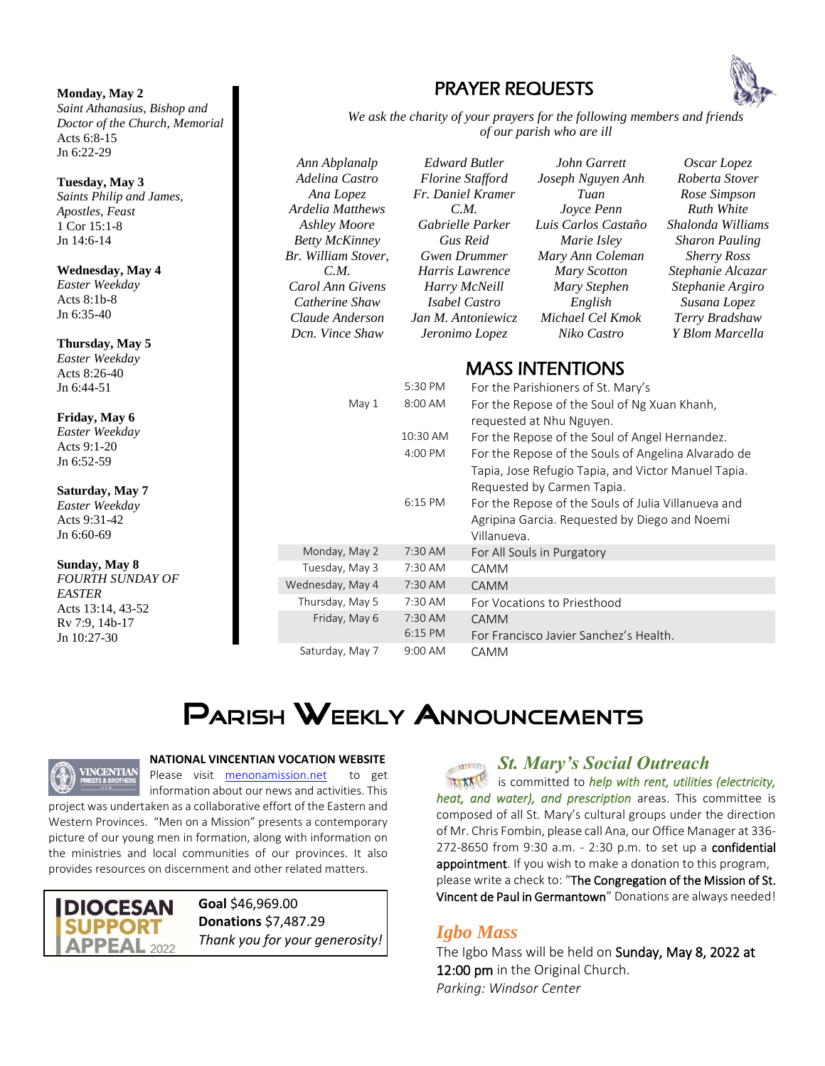#### **Monday, May 2**

*Saint Athanasius, Bishop and Doctor of the Church, Memorial*  Acts 6:8-15 Jn 6:22-29

#### **Tuesday, May 3**

*Saints Philip and James, Apostles, Feast*  1 Cor 15:1-8 Jn 14:6-14

### **Wednesday, May 4**

*Easter Weekday* Acts 8:1b-8 Jn 6:35-40

#### **Thursday, May 5**

*Easter Weekday* Acts 8:26-40 Jn 6:44-51

#### **Friday, May 6**

*Easter Weekday* Acts 9:1-20 Jn 6:52-59

#### **Saturday, May 7** *Easter Weekday*

Acts 9:31-42 Jn 6:60-69

#### **Sunday, May 8**

*FOURTH SUNDAY OF EASTER* Acts 13:14, 43-52 Rv 7:9, 14b-17 Jn 10:27-30

| <b>PRAYER REQUESTS</b> |  |
|------------------------|--|
|------------------------|--|



*We ask the charity of your prayers for the following members and friends of our parish who are ill*

*Ann Abplanalp Adelina Castro Ana Lopez Ardelia Matthews Ashley Moore Betty McKinney Br. William Stover, C.M. Carol Ann Givens Catherine Shaw Claude Anderson Dcn. Vince Shaw*

*Edward Butler Florine Stafford Fr. Daniel Kramer C.M. Gabrielle Parker Gus Reid Gwen Drummer Harris Lawrence Harry McNeill Isabel Castro Jan M. Antoniewicz Jeronimo Lopez*

*John Garrett Joseph Nguyen Anh Tuan Joyce Penn Luis Carlos Castaño Marie Isley Mary Ann Coleman Mary Scotton Mary Stephen English Michael Cel Kmok Niko Castro*

*Oscar Lopez Roberta Stover Rose Simpson Ruth White Shalonda Williams Sharon Pauling Sherry Ross Stephanie Alcazar Stephanie Argiro Susana Lopez Terry Bradshaw Y Blom Marcella*

### MASS INTENTIONS

|                  | 5:30 PM   | For the Parishioners of St. Mary's                  |
|------------------|-----------|-----------------------------------------------------|
| May 1            | 8:00 AM   | For the Repose of the Soul of Ng Xuan Khanh,        |
|                  |           | requested at Nhu Nguyen.                            |
|                  | 10:30 AM  | For the Repose of the Soul of Angel Hernandez.      |
|                  | 4:00 PM   | For the Repose of the Souls of Angelina Alvarado de |
|                  |           | Tapia, Jose Refugio Tapia, and Victor Manuel Tapia. |
|                  |           | Requested by Carmen Tapia.                          |
|                  | $6:15$ PM | For the Repose of the Souls of Julia Villanueva and |
|                  |           | Agripina Garcia. Requested by Diego and Noemi       |
|                  |           | Villanueva.                                         |
| Monday, May 2    | $7:30$ AM | For All Souls in Purgatory                          |
| Tuesday, May 3   | $7:30$ AM | CAMM                                                |
| Wednesday, May 4 | 7:30 AM   | <b>CAMM</b>                                         |
| Thursday, May 5  | 7:30 AM   | For Vocations to Priesthood                         |
| Friday, May 6    | $7:30$ AM | CAMM                                                |
|                  | $6:15$ PM | For Francisco Javier Sanchez's Health.              |
| Saturday, May 7  | $9:00$ AM | CAMM                                                |

# **PARISH WEEKLY ANNOUNCEMENTS**



#### **NATIONAL VINCENTIAN VOCATION WEBSITE**

Please visit menonamission.net to get information about our news and activities. This project was undertaken as a collaborative effort of the Eastern and

Western Provinces. "Men on a Mission" presents a contemporary picture of our young men in formation, along with information on the ministries and local communities of our provinces. It also provides resources on discernment and other related matters.

**DIOCESAN APPEAL 2022** 

**Goal** \$46,969.00 **Donations** \$7,487.29 *Thank you for your generosity!* *St. Mary's Social Outreach*

**LELERY Y** is committed to *help with rent, utilities (electricity, heat, and water), and prescription* areas. This committee is composed of all St. Mary's cultural groups under the direction of Mr. Chris Fombin, please call Ana, our Office Manager at 336- 272-8650 from 9:30 a.m. - 2:30 p.m. to set up a confidential appointment. If you wish to make a donation to this program, please write a check to: "The Congregation of the Mission of St. Vincent de Paul in Germantown" Donations are always needed!

### *Igbo Mass*

The Igbo Mass will be held on Sunday, May 8, 2022 at 12:00 pm in the Original Church. *Parking: Windsor Center*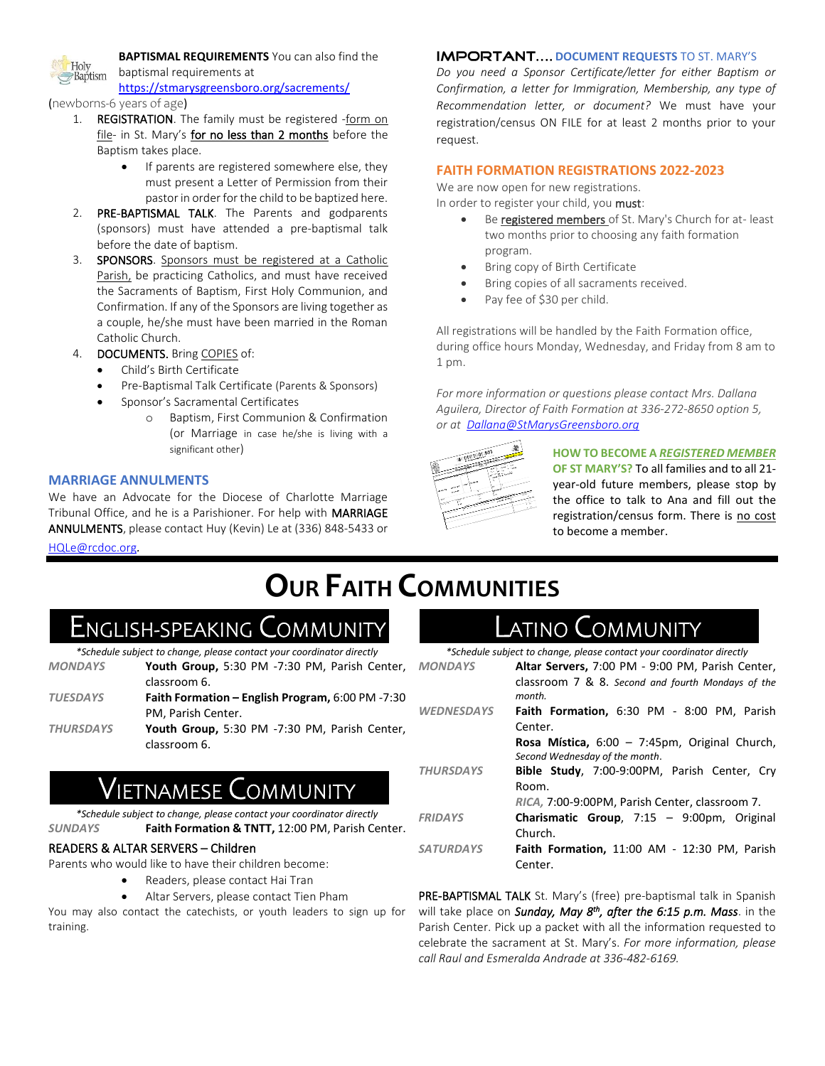

**BAPTISMAL REQUIREMENTS** You can also find the baptismal requirements at

https://stmarysgreensboro.org/sacrements/

#### (newborns-6 years of age)

- 1. REGISTRATION. The family must be registered -form on file- in St. Mary's for no less than 2 months before the Baptism takes place.
	- If parents are registered somewhere else, they must present a Letter of Permission from their pastor in order for the child to be baptized here.
- 2. PRE-BAPTISMAL TALK. The Parents and godparents (sponsors) must have attended a pre-baptismal talk before the date of baptism.
- 3. SPONSORS. Sponsors must be registered at a Catholic Parish, be practicing Catholics, and must have received the Sacraments of Baptism, First Holy Communion, and Confirmation. If any of the Sponsors are living together as a couple, he/she must have been married in the Roman Catholic Church.
- 4. DOCUMENTS. Bring COPIES of:
	- Child's Birth Certificate
	- Pre-Baptismal Talk Certificate (Parents & Sponsors)
	- Sponsor's Sacramental Certificates
		- o Baptism, First Communion & Confirmation (or Marriage in case he/she is living with a significant other)

#### **MARRIAGE ANNULMENTS**

We have an Advocate for the Diocese of Charlotte Marriage Tribunal Office, and he is a Parishioner. For help with MARRIAGE ANNULMENTS, please contact Huy (Kevin) Le at (336) 848-5433 or HQLe@rcdoc.org*.*

#### **IMPORTANT.... DOCUMENT REQUESTS TO ST. MARY'S**

*Do you need a Sponsor Certificate/letter for either Baptism or Confirmation, a letter for Immigration, Membership, any type of Recommendation letter, or document?* We must have your registration/census ON FILE for at least 2 months prior to your request.

#### **FAITH FORMATION REGISTRATIONS 2022-2023**

We are now open for new registrations.

In order to register your child, you must:

- Be registered members of St. Mary's Church for at- least two months prior to choosing any faith formation program.
- Bring copy of Birth Certificate
- Bring copies of all sacraments received.
- Pay fee of \$30 per child.

All registrations will be handled by the Faith Formation office, during office hours Monday, Wednesday, and Friday from 8 am to 1 pm.

*For more information or questions please contact Mrs. Dallana Aguilera, Director of Faith Formation at 336-272-8650 option 5, or at Dallana@StMarysGreensboro.org*

| W. WHITERING WALK<br><b>ARCHITE</b><br><b><i>COMMERCIAL</i></b><br>$\mathbf{v}^{\mathrm{opt}}$ |  |
|------------------------------------------------------------------------------------------------|--|
| $\mathcal{M}^{\mathcal{L}}$<br>$\sim$<br>متستنية<br>ne e or<br>s<br>$\sim$                     |  |
| or.<br>÷<br>÷                                                                                  |  |
| بمبر<br>سي<br>ı<br>٠<br>c                                                                      |  |
| ×                                                                                              |  |
|                                                                                                |  |
|                                                                                                |  |

**HOW TO BECOME A** *REGISTERED MEMBER* **OF ST MARY'S?** To all families and to all 21 year-old future members, please stop by the office to talk to Ana and fill out the registration/census form. There is no cost to become a member.

# **OUR FAITH COMMUNITIES**

 $\sqrt{2}$ 

## ENGLISH-SPEAKING COMMUNITY

*\*Schedule subject to change, please contact your coordinator directly*

| <b>MONDAYS</b>   | Youth Group, 5:30 PM -7:30 PM, Parish Center,                 |
|------------------|---------------------------------------------------------------|
|                  | classroom 6.                                                  |
| <b>TUESDAYS</b>  | Faith Formation – English Program, $6:00$ PM -7:30            |
|                  | PM. Parish Center.                                            |
| <b>THURSDAYS</b> | Youth Group, 5:30 PM -7:30 PM, Parish Center,<br>classroom 6. |

## NAMESE **C**OMMUNITY

*\*Schedule subject to change, please contact your coordinator directly SUNDAYS* **Faith Formation & TNTT,** 12:00 PM, Parish Center.

#### READERS & ALTAR SERVERS – Children

Parents who would like to have their children become:

- Readers, please contact Hai Tran
	- Altar Servers, please contact Tien Pham

You may also contact the catechists, or youth leaders to sign up for training.

## atino Community

*\*Schedule subject to change, please contact your coordinator directly*

| <b>MONDAYS</b>    | Altar Servers, 7:00 PM - 9:00 PM, Parish Center,                                       |
|-------------------|----------------------------------------------------------------------------------------|
|                   | classroom 7 & 8. Second and fourth Mondays of the<br>month.                            |
| <b>WEDNESDAYS</b> | Faith Formation, 6:30 PM - 8:00 PM, Parish                                             |
|                   | Center.                                                                                |
|                   | <b>Rosa Mística, 6:00 - 7:45pm, Original Church,</b><br>Second Wednesday of the month. |
| <b>THURSDAYS</b>  | Bible Study, 7:00-9:00PM, Parish Center, Cry                                           |
|                   | Room.                                                                                  |
|                   | RICA, 7:00-9:00PM, Parish Center, classroom 7.                                         |
| <b>FRIDAYS</b>    | <b>Charismatic Group</b> , $7:15 - 9:00 \text{pm}$ , Original                          |
|                   | Church.                                                                                |
| <b>SATURDAYS</b>  | Faith Formation, 11:00 AM - 12:30 PM, Parish                                           |
|                   | Center.                                                                                |

PRE-BAPTISMAL TALK St. Mary's (free) pre-baptismal talk in Spanish will take place on Sunday, May 8<sup>th</sup>, after the 6:15 p.m. Mass. in the Parish Center. Pick up a packet with all the information requested to celebrate the sacrament at St. Mary's. *For more information, please call Raul and Esmeralda Andrade at 336-482-6169.*